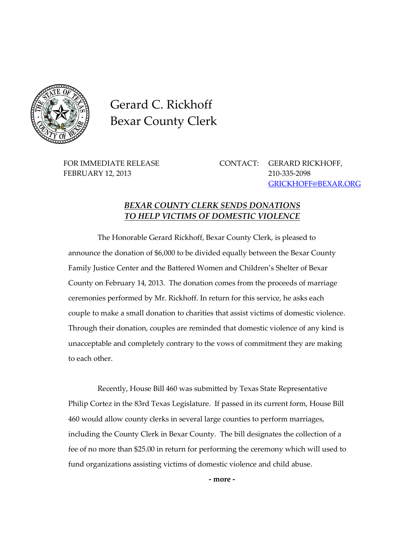

Gerard C. Rickhoff Bexar County Clerk

FEBRUARY 12, 2013 210-335-2098

FOR IMMEDIATE RELEASE CONTACT: GERARD RICKHOFF, [GRICKHOFF@BEXAR.ORG](mailto:GRICKHOFF@BEXAR.ORG)

## *BEXAR COUNTY CLERK SENDS DONATIONS TO HELP VICTIMS OF DOMESTIC VIOLENCE*

The Honorable Gerard Rickhoff, Bexar County Clerk, is pleased to announce the donation of \$6,000 to be divided equally between the Bexar County Family Justice Center and the Battered Women and Children's Shelter of Bexar County on February 14, 2013. The donation comes from the proceeds of marriage ceremonies performed by Mr. Rickhoff. In return for this service, he asks each couple to make a small donation to charities that assist victims of domestic violence. Through their donation, couples are reminded that domestic violence of any kind is unacceptable and completely contrary to the vows of commitment they are making to each other.

Recently, House Bill 460 was submitted by Texas State Representative Philip Cortez in the 83rd Texas Legislature. If passed in its current form, House Bill 460 would allow county clerks in several large counties to perform marriages, including the County Clerk in Bexar County. The bill designates the collection of a fee of no more than \$25.00 in return for performing the ceremony which will used to fund organizations assisting victims of domestic violence and child abuse.

**- more -**